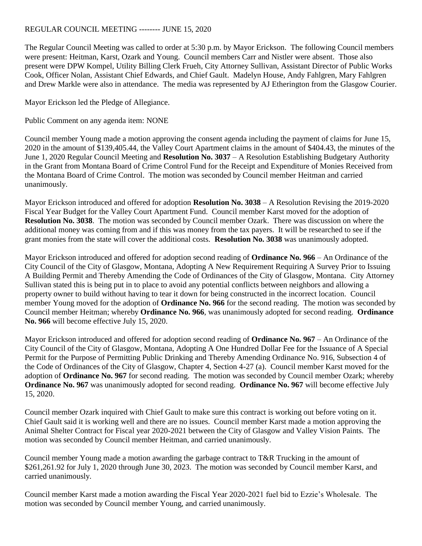## REGULAR COUNCIL MEETING -------- JUNE 15, 2020

The Regular Council Meeting was called to order at 5:30 p.m. by Mayor Erickson. The following Council members were present: Heitman, Karst, Ozark and Young. Council members Carr and Nistler were absent. Those also present were DPW Kompel, Utility Billing Clerk Frueh, City Attorney Sullivan, Assistant Director of Public Works Cook, Officer Nolan, Assistant Chief Edwards, and Chief Gault. Madelyn House, Andy Fahlgren, Mary Fahlgren and Drew Markle were also in attendance. The media was represented by AJ Etherington from the Glasgow Courier.

Mayor Erickson led the Pledge of Allegiance.

Public Comment on any agenda item: NONE

Council member Young made a motion approving the consent agenda including the payment of claims for June 15, 2020 in the amount of \$139,405.44, the Valley Court Apartment claims in the amount of \$404.43, the minutes of the June 1, 2020 Regular Council Meeting and **Resolution No. 3037** – A Resolution Establishing Budgetary Authority in the Grant from Montana Board of Crime Control Fund for the Receipt and Expenditure of Monies Received from the Montana Board of Crime Control. The motion was seconded by Council member Heitman and carried unanimously.

Mayor Erickson introduced and offered for adoption **Resolution No. 3038** – A Resolution Revising the 2019-2020 Fiscal Year Budget for the Valley Court Apartment Fund. Council member Karst moved for the adoption of **Resolution No. 3038**. The motion was seconded by Council member Ozark. There was discussion on where the additional money was coming from and if this was money from the tax payers. It will be researched to see if the grant monies from the state will cover the additional costs. **Resolution No. 3038** was unanimously adopted.

Mayor Erickson introduced and offered for adoption second reading of **Ordinance No. 966** – An Ordinance of the City Council of the City of Glasgow, Montana, Adopting A New Requirement Requiring A Survey Prior to Issuing A Building Permit and Thereby Amending the Code of Ordinances of the City of Glasgow, Montana. City Attorney Sullivan stated this is being put in to place to avoid any potential conflicts between neighbors and allowing a property owner to build without having to tear it down for being constructed in the incorrect location. Council member Young moved for the adoption of **Ordinance No. 966** for the second reading. The motion was seconded by Council member Heitman; whereby **Ordinance No. 966**, was unanimously adopted for second reading. **Ordinance No. 966** will become effective July 15, 2020.

Mayor Erickson introduced and offered for adoption second reading of **Ordinance No. 967** – An Ordinance of the City Council of the City of Glasgow, Montana, Adopting A One Hundred Dollar Fee for the Issuance of A Special Permit for the Purpose of Permitting Public Drinking and Thereby Amending Ordinance No. 916, Subsection 4 of the Code of Ordinances of the City of Glasgow, Chapter 4, Section 4-27 (a). Council member Karst moved for the adoption of **Ordinance No. 967** for second reading. The motion was seconded by Council member Ozark; whereby **Ordinance No. 967** was unanimously adopted for second reading. **Ordinance No. 967** will become effective July 15, 2020.

Council member Ozark inquired with Chief Gault to make sure this contract is working out before voting on it. Chief Gault said it is working well and there are no issues. Council member Karst made a motion approving the Animal Shelter Contract for Fiscal year 2020-2021 between the City of Glasgow and Valley Vision Paints. The motion was seconded by Council member Heitman, and carried unanimously.

Council member Young made a motion awarding the garbage contract to T&R Trucking in the amount of \$261,261.92 for July 1, 2020 through June 30, 2023. The motion was seconded by Council member Karst, and carried unanimously.

Council member Karst made a motion awarding the Fiscal Year 2020-2021 fuel bid to Ezzie's Wholesale. The motion was seconded by Council member Young, and carried unanimously.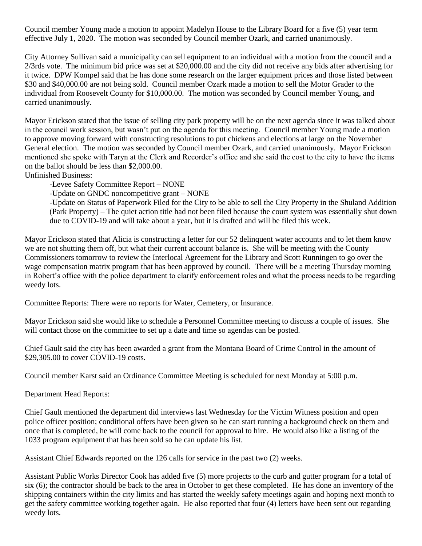Council member Young made a motion to appoint Madelyn House to the Library Board for a five (5) year term effective July 1, 2020. The motion was seconded by Council member Ozark, and carried unanimously.

City Attorney Sullivan said a municipality can sell equipment to an individual with a motion from the council and a 2/3rds vote. The minimum bid price was set at \$20,000.00 and the city did not receive any bids after advertising for it twice. DPW Kompel said that he has done some research on the larger equipment prices and those listed between \$30 and \$40,000.00 are not being sold. Council member Ozark made a motion to sell the Motor Grader to the individual from Roosevelt County for \$10,000.00. The motion was seconded by Council member Young, and carried unanimously.

Mayor Erickson stated that the issue of selling city park property will be on the next agenda since it was talked about in the council work session, but wasn't put on the agenda for this meeting. Council member Young made a motion to approve moving forward with constructing resolutions to put chickens and elections at large on the November General election. The motion was seconded by Council member Ozark, and carried unanimously. Mayor Erickson mentioned she spoke with Taryn at the Clerk and Recorder's office and she said the cost to the city to have the items on the ballot should be less than \$2,000.00.

Unfinished Business:

-Levee Safety Committee Report – NONE

-Update on GNDC noncompetitive grant – NONE

-Update on Status of Paperwork Filed for the City to be able to sell the City Property in the Shuland Addition (Park Property) – The quiet action title had not been filed because the court system was essentially shut down due to COVID-19 and will take about a year, but it is drafted and will be filed this week.

Mayor Erickson stated that Alicia is constructing a letter for our 52 delinquent water accounts and to let them know we are not shutting them off, but what their current account balance is. She will be meeting with the County Commissioners tomorrow to review the Interlocal Agreement for the Library and Scott Runningen to go over the wage compensation matrix program that has been approved by council. There will be a meeting Thursday morning in Robert's office with the police department to clarify enforcement roles and what the process needs to be regarding weedy lots.

Committee Reports: There were no reports for Water, Cemetery, or Insurance.

Mayor Erickson said she would like to schedule a Personnel Committee meeting to discuss a couple of issues. She will contact those on the committee to set up a date and time so agendas can be posted.

Chief Gault said the city has been awarded a grant from the Montana Board of Crime Control in the amount of \$29,305.00 to cover COVID-19 costs.

Council member Karst said an Ordinance Committee Meeting is scheduled for next Monday at 5:00 p.m.

Department Head Reports:

Chief Gault mentioned the department did interviews last Wednesday for the Victim Witness position and open police officer position; conditional offers have been given so he can start running a background check on them and once that is completed, he will come back to the council for approval to hire. He would also like a listing of the 1033 program equipment that has been sold so he can update his list.

Assistant Chief Edwards reported on the 126 calls for service in the past two (2) weeks.

Assistant Public Works Director Cook has added five (5) more projects to the curb and gutter program for a total of six (6); the contractor should be back to the area in October to get these completed. He has done an inventory of the shipping containers within the city limits and has started the weekly safety meetings again and hoping next month to get the safety committee working together again. He also reported that four (4) letters have been sent out regarding weedy lots.